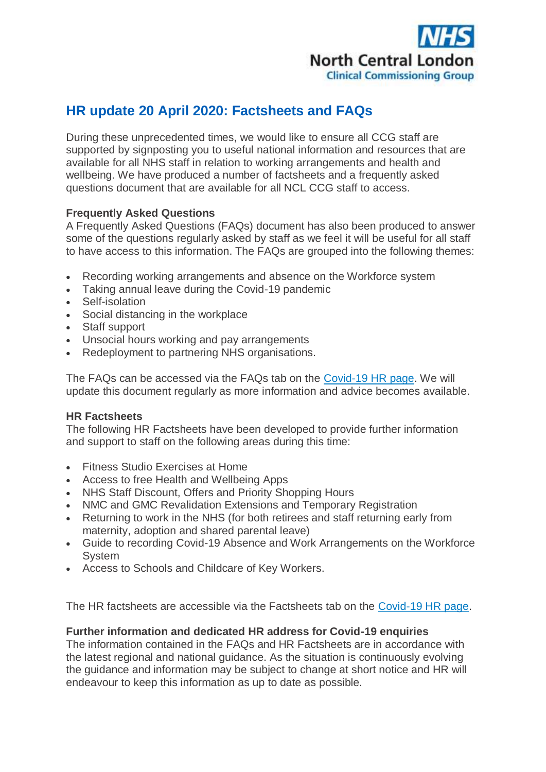

## **HR update 20 April 2020: Factsheets and FAQs**

During these unprecedented times, we would like to ensure all CCG staff are supported by signposting you to useful national information and resources that are available for all NHS staff in relation to working arrangements and health and wellbeing. We have produced a number of factsheets and a frequently asked questions document that are available for all NCL CCG staff to access.

## **Frequently Asked Questions**

A Frequently Asked Questions (FAQs) document has also been produced to answer some of the questions regularly asked by staff as we feel it will be useful for all staff to have access to this information. The FAQs are grouped into the following themes:

- Recording working arrangements and absence on the Workforce system
- Taking annual leave during the Covid-19 pandemic
- Self-isolation
- Social distancing in the workplace
- Staff support
- Unsocial hours working and pay arrangements
- Redeployment to partnering NHS organisations.

The FAQs can be accessed via the FAQs tab on the [Covid-19 HR page.](http://camdenccg.newsweaver.com/briefing/1bujxgkvrtf1gfncbqs1l9/external?email=true&a=6&p=5127228&t=356442) We will update this document regularly as more information and advice becomes available.

## **HR Factsheets**

The following HR Factsheets have been developed to provide further information and support to staff on the following areas during this time:

- Fitness Studio Exercises at Home
- Access to free Health and Wellbeing Apps
- NHS Staff Discount, Offers and Priority Shopping Hours
- NMC and GMC Revalidation Extensions and Temporary Registration
- Returning to work in the NHS (for both retirees and staff returning early from maternity, adoption and shared parental leave)
- Guide to recording Covid-19 Absence and Work Arrangements on the Workforce System
- Access to Schools and Childcare of Key Workers.

The HR factsheets are accessible via the Factsheets tab on the [Covid-19 HR page.](http://camdenccg.newsweaver.com/briefing/1bujxgkvrtf1gfncbqs1l9/external?email=true&i=2&a=6&p=5127228&t=356442)

## **Further information and dedicated HR address for Covid-19 enquiries**

The information contained in the FAQs and HR Factsheets are in accordance with the latest regional and national guidance. As the situation is continuously evolving the guidance and information may be subject to change at short notice and HR will endeavour to keep this information as up to date as possible.